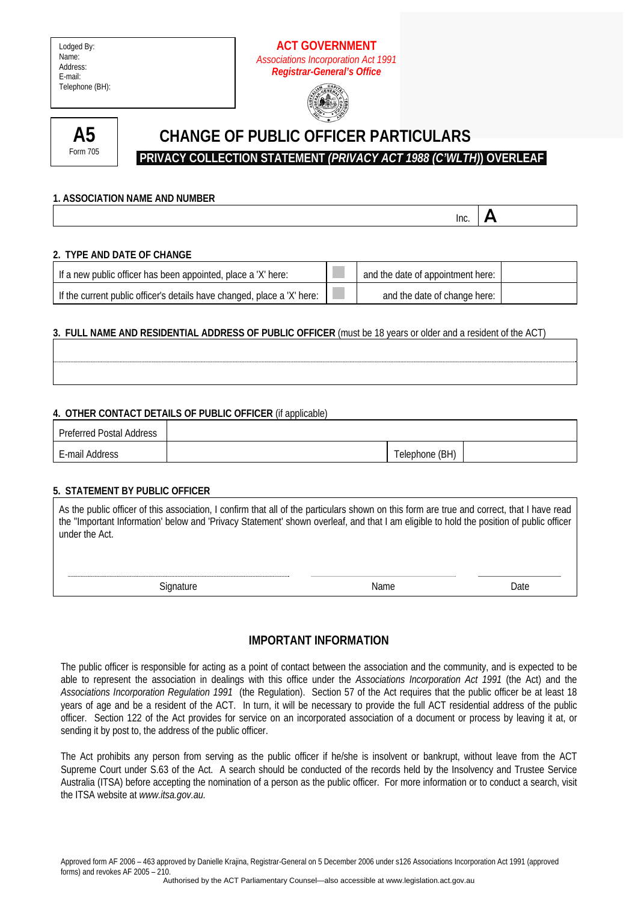## **ACT GOVERNMENT**  *Associations Incorporation Act 1991 Registrar-General's Office*





# **CHANGE OF PUBLIC OFFICER PARTICULARS**

 **PRIVACY COLLECTION STATEMENT** *(PRIVACY ACT 1988 (C'WLTH)***) OVERLEAF** 

#### **1. ASSOCIATION NAME AND NUMBER**

**Inc.**  $\mathbf{A}$ 

#### **2. TYPE AND DATE OF CHANGE**

| If a new public officer has been appointed, place a 'X' here:           | and the date of appointment here: |  |
|-------------------------------------------------------------------------|-----------------------------------|--|
| If the current public officer's details have changed, place a 'X' here: | and the date of change here:      |  |

### **3. FULL NAME AND RESIDENTIAL ADDRESS OF PUBLIC OFFICER** (must be 18 years or older and a resident of the ACT)

#### **4. OTHER CONTACT DETAILS OF PUBLIC OFFICER** (if applicable)

| Preferred Postal Address |                |  |
|--------------------------|----------------|--|
| E-mail Address           | Telephone (BH) |  |

#### **5. STATEMENT BY PUBLIC OFFICER**

| under the Act. | As the public officer of this association, I confirm that all of the particulars shown on this form are true and correct, that I have read<br>the "Important Information' below and 'Privacy Statement' shown overleaf, and that I am eligible to hold the position of public officer |
|----------------|---------------------------------------------------------------------------------------------------------------------------------------------------------------------------------------------------------------------------------------------------------------------------------------|
|                |                                                                                                                                                                                                                                                                                       |
|                |                                                                                                                                                                                                                                                                                       |

**IMPORTANT INFORMATION** 

Signature Date Date Name Name Date

The public officer is responsible for acting as a point of contact between the association and the community, and is expected to be able to represent the association in dealings with this office under the *Associations Incorporation Act 1991* (the Act) and the *Associations Incorporation Regulation 1991* (the Regulation). Section 57 of the Act requires that the public officer be at least 18 years of age and be a resident of the ACT. In turn, it will be necessary to provide the full ACT residential address of the public officer. Section 122 of the Act provides for service on an incorporated association of a document or process by leaving it at, or sending it by post to, the address of the public officer.

The Act prohibits any person from serving as the public officer if he/she is insolvent or bankrupt, without leave from the ACT Supreme Court under S.63 of the Act. A search should be conducted of the records held by the Insolvency and Trustee Service Australia (ITSA) before accepting the nomination of a person as the public officer. For more information or to conduct a search, visit the ITSA website at *www.itsa.gov.au.*